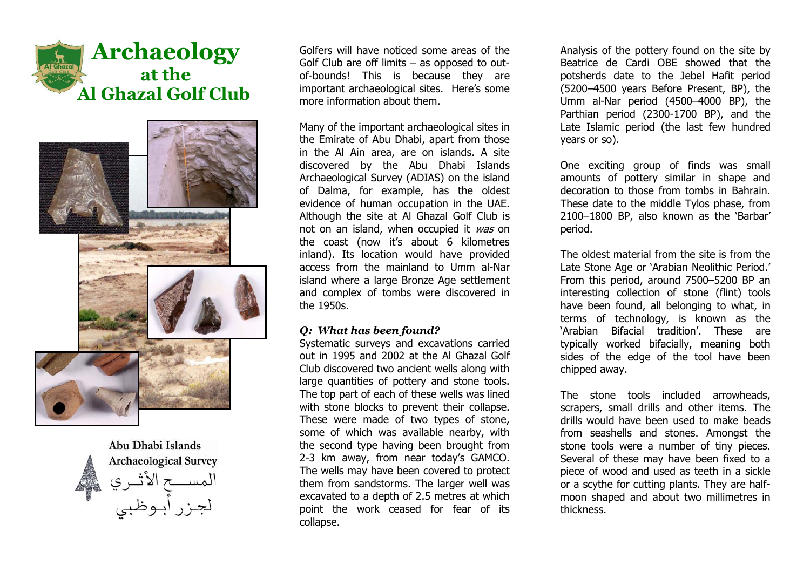





Golfers will have noticed some areas of the Golf Club are off limits  $-$  as opposed to outof-bounds! This is because they are important archaeological sites. Here's some more information about them.

Many of the important archaeological sites in the Emirate of Abu Dhabi, apart from those in the Al Ain area, are on islands. A site discovered by the Abu Dhabi Islands Archaeological Survey (ADIAS) on the island of Dalma, for example, has the oldest evidence of human occupation in the UAE. Although the site at Al Ghazal Golf Club is not on an island, when occupied it was on the coast (now it's about 6 kilometres inland). Its location would have provided access from the mainland to Umm al-Nar island where a large Bronze Age settlement and complex of tombs were discovered in the 1950s.

#### *Q: What has been found?*

Systematic surveys and excavations carried out in 1995 and 2002 at the Al Ghazal Golf Club discovered two ancient wells along with large quantities of pottery and stone tools. The top part of each of these wells was lined with stone blocks to prevent their collapse. These were made of two types of stone, some of which was available nearby, with the second type having been brought from 2-3 km away, from near todayís GAMCO. The wells may have been covered to protect them from sandstorms. The larger well was excavated to a depth of 2.5 metres at which point the work ceased for fear of its collapse.

Analysis of the pottery found on the site by Beatrice de Cardi OBE showed that the potsherds date to the Jebel Hafit period (5200–4500 years Before Present, BP), the Umm al-Nar period  $(4500-4000$  BP), the Parthian period (2300-1700 BP), and the Late Islamic period (the last few hundred years or so).

One exciting group of finds was small amounts of pottery similar in shape and decoration to those from tombs in Bahrain. These date to the middle Tylos phase, from 2100-1800 BP, also known as the 'Barbar' period.

The oldest material from the site is from the Late Stone Age or 'Arabian Neolithic Period.' From this period, around 7500-5200 BP an interesting collection of stone (flint) tools have been found, all belonging to what, in terms of technology, is known as the 'Arabian Bifacial tradition'. These are typically worked bifacially, meaning both sides of the edge of the tool have been chipped away.

The stone tools included arrowheads, scrapers, small drills and other items. The drills would have been used to make beads from seashells and stones. Amongst the stone tools were a number of tiny pieces. Several of these may have been fixed to a piece of wood and used as teeth in a sickle or a scythe for cutting plants. They are halfmoon shaped and about two millimetres in thickness.